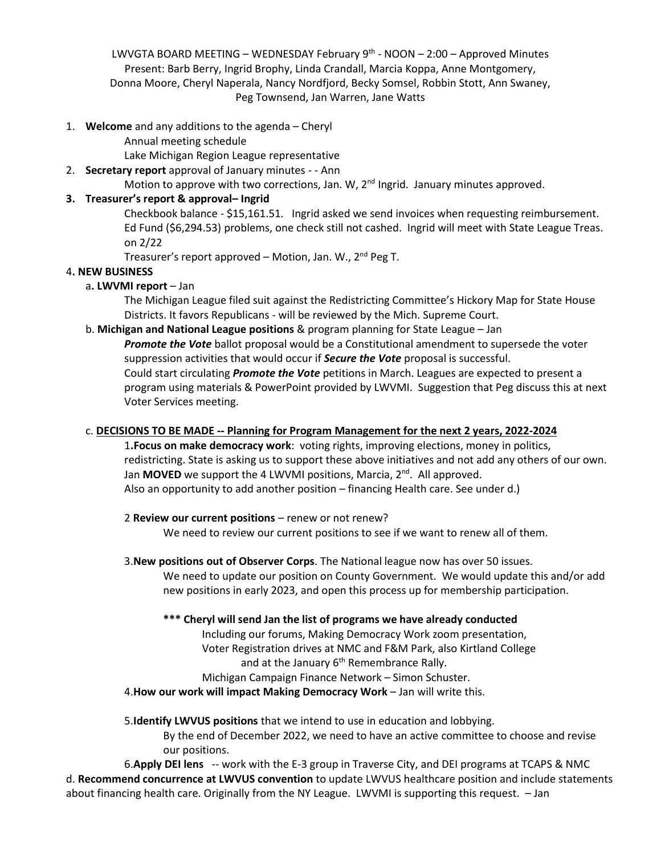LWVGTA BOARD MEETING – WEDNESDAY February 9<sup>th</sup> - NOON – 2:00 – Approved Minutes Present: Barb Berry, Ingrid Brophy, Linda Crandall, Marcia Koppa, Anne Montgomery, Donna Moore, Cheryl Naperala, Nancy Nordfjord, Becky Somsel, Robbin Stott, Ann Swaney, Peg Townsend, Jan Warren, Jane Watts

1. **Welcome** and any additions to the agenda – Cheryl

Annual meeting schedule

Lake Michigan Region League representative

## 2. **Secretary report** approval of January minutes - - Ann

Motion to approve with two corrections, Jan. W, 2<sup>nd</sup> Ingrid. January minutes approved.

## **3. Treasurer's report & approval– Ingrid**

Checkbook balance - \$15,161.51. Ingrid asked we send invoices when requesting reimbursement. Ed Fund (\$6,294.53) problems, one check still not cashed. Ingrid will meet with State League Treas. on 2/22

Treasurer's report approved – Motion, Jan. W., 2nd Peg T.

#### 4**. NEW BUSINESS**

## a**. LWVMI report** – Jan

The Michigan League filed suit against the Redistricting Committee's Hickory Map for State House Districts. It favors Republicans - will be reviewed by the Mich. Supreme Court.

#### b. **Michigan and National League positions** & program planning for State League – Jan

*Promote the Vote* ballot proposal would be a Constitutional amendment to supersede the voter suppression activities that would occur if *Secure the Vote* proposal is successful. Could start circulating *Promote the Vote* petitions in March. Leagues are expected to present a program using materials & PowerPoint provided by LWVMI. Suggestion that Peg discuss this at next Voter Services meeting.

## c. **DECISIONS TO BE MADE -- Planning for Program Management for the next 2 years, 2022-2024**

1**.Focus on make democracy work**: voting rights, improving elections, money in politics, redistricting. State is asking us to support these above initiatives and not add any others of our own. Jan **MOVED** we support the 4 LWVMI positions, Marcia, 2<sup>nd</sup>. All approved. Also an opportunity to add another position – financing Health care. See under d.)

#### 2 **Review our current positions** – renew or not renew?

We need to review our current positions to see if we want to renew all of them.

#### 3.**New positions out of Observer Corps**. The National league now has over 50 issues.

We need to update our position on County Government. We would update this and/or add new positions in early 2023, and open this process up for membership participation.

## **\*\*\* Cheryl will send Jan the list of programs we have already conducted**

Including our forums, Making Democracy Work zoom presentation, Voter Registration drives at NMC and F&M Park, also Kirtland College and at the January 6<sup>th</sup> Remembrance Rally.

## Michigan Campaign Finance Network – Simon Schuster.

4.**How our work will impact Making Democracy Work** – Jan will write this.

## 5.**Identify LWVUS positions** that we intend to use in education and lobbying.

By the end of December 2022, we need to have an active committee to choose and revise our positions.

6.**Apply DEI lens** -- work with the E-3 group in Traverse City, and DEI programs at TCAPS & NMC d. **Recommend concurrence at LWVUS convention** to update LWVUS healthcare position and include statements about financing health care. Originally from the NY League. LWVMI is supporting this request. – Jan